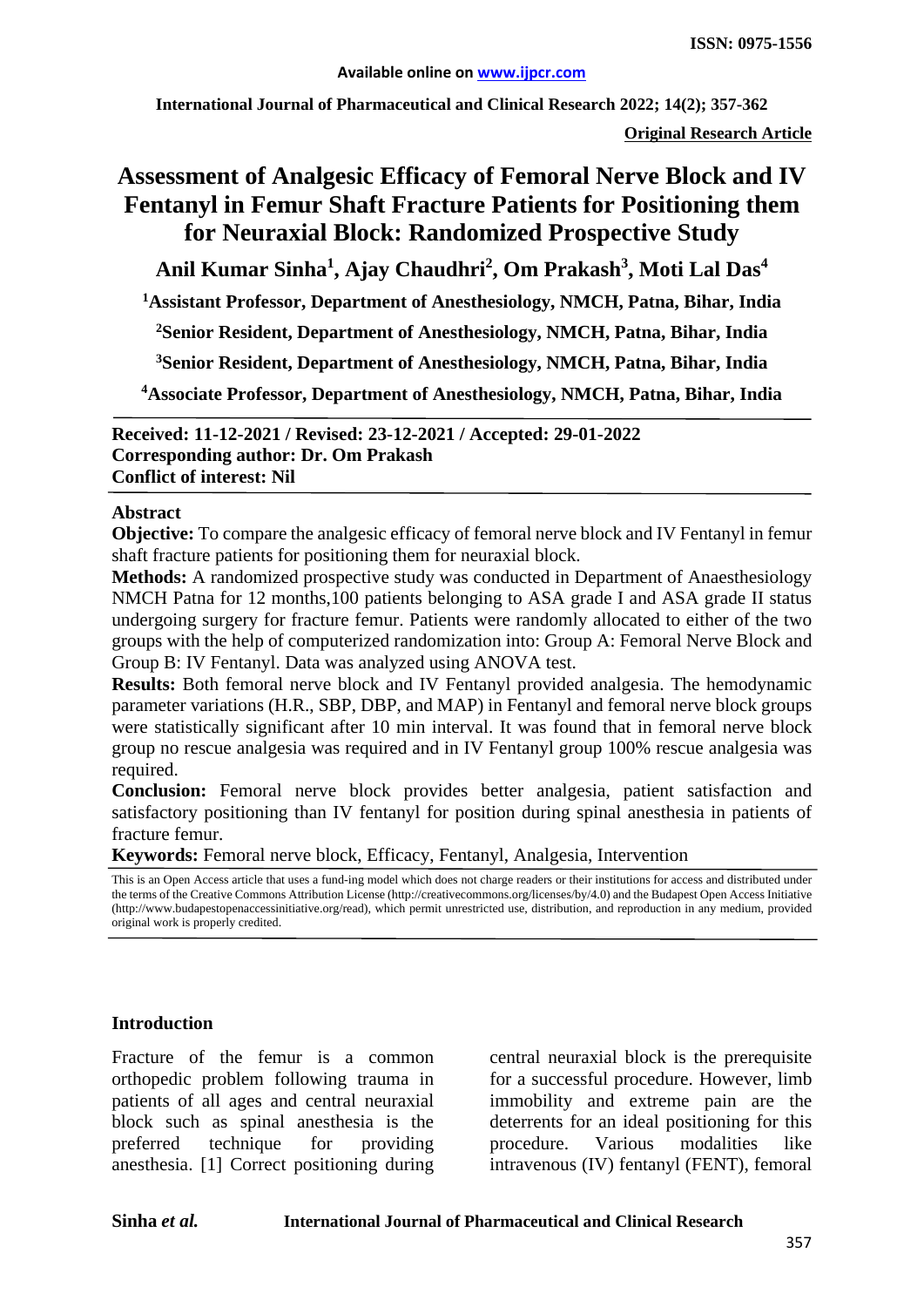**International Journal of Pharmaceutical and Clinical Research 2022; 14(2); 357-362**

**Original Research Article**

# **Assessment of Analgesic Efficacy of Femoral Nerve Block and IV Fentanyl in Femur Shaft Fracture Patients for Positioning them for Neuraxial Block: Randomized Prospective Study**

**Anil Kumar Sinha1 , Ajay Chaudhri<sup>2</sup> , Om Prakash<sup>3</sup> , Moti Lal Das<sup>4</sup>**

**1 Assistant Professor, Department of Anesthesiology, NMCH, Patna, Bihar, India**

**2 Senior Resident, Department of Anesthesiology, NMCH, Patna, Bihar, India**

**3Senior Resident, Department of Anesthesiology, NMCH, Patna, Bihar, India**

**4Associate Professor, Department of Anesthesiology, NMCH, Patna, Bihar, India**

**Received: 11-12-2021 / Revised: 23-12-2021 / Accepted: 29-01-2022 Corresponding author: Dr. Om Prakash Conflict of interest: Nil**

### **Abstract**

**Objective:** To compare the analgesic efficacy of femoral nerve block and IV Fentanyl in femur shaft fracture patients for positioning them for neuraxial block.

**Methods:** A randomized prospective study was conducted in Department of Anaesthesiology NMCH Patna for 12 months,100 patients belonging to ASA grade I and ASA grade II status undergoing surgery for fracture femur. Patients were randomly allocated to either of the two groups with the help of computerized randomization into: Group A: Femoral Nerve Block and Group B: IV Fentanyl. Data was analyzed using ANOVA test.

**Results:** Both femoral nerve block and IV Fentanyl provided analgesia. The hemodynamic parameter variations (H.R., SBP, DBP, and MAP) in Fentanyl and femoral nerve block groups were statistically significant after 10 min interval. It was found that in femoral nerve block group no rescue analgesia was required and in IV Fentanyl group 100% rescue analgesia was required.

**Conclusion:** Femoral nerve block provides better analgesia, patient satisfaction and satisfactory positioning than IV fentanyl for position during spinal anesthesia in patients of fracture femur.

**Keywords:** Femoral nerve block, Efficacy, Fentanyl, Analgesia, Intervention

This is an Open Access article that uses a fund-ing model which does not charge readers or their institutions for access and distributed under the terms of the Creative Commons Attribution License (http://creativecommons.org/licenses/by/4.0) and the Budapest Open Access Initiative (http://www.budapestopenaccessinitiative.org/read), which permit unrestricted use, distribution, and reproduction in any medium, provided original work is properly credited.

### **Introduction**

Fracture of the femur is a common orthopedic problem following trauma in patients of all ages and central neuraxial block such as spinal anesthesia is the preferred technique for providing anesthesia. [1] Correct positioning during central neuraxial block is the prerequisite for a successful procedure. However, limb immobility and extreme pain are the deterrents for an ideal positioning for this procedure. Various modalities like intravenous (IV) fentanyl (FENT), femoral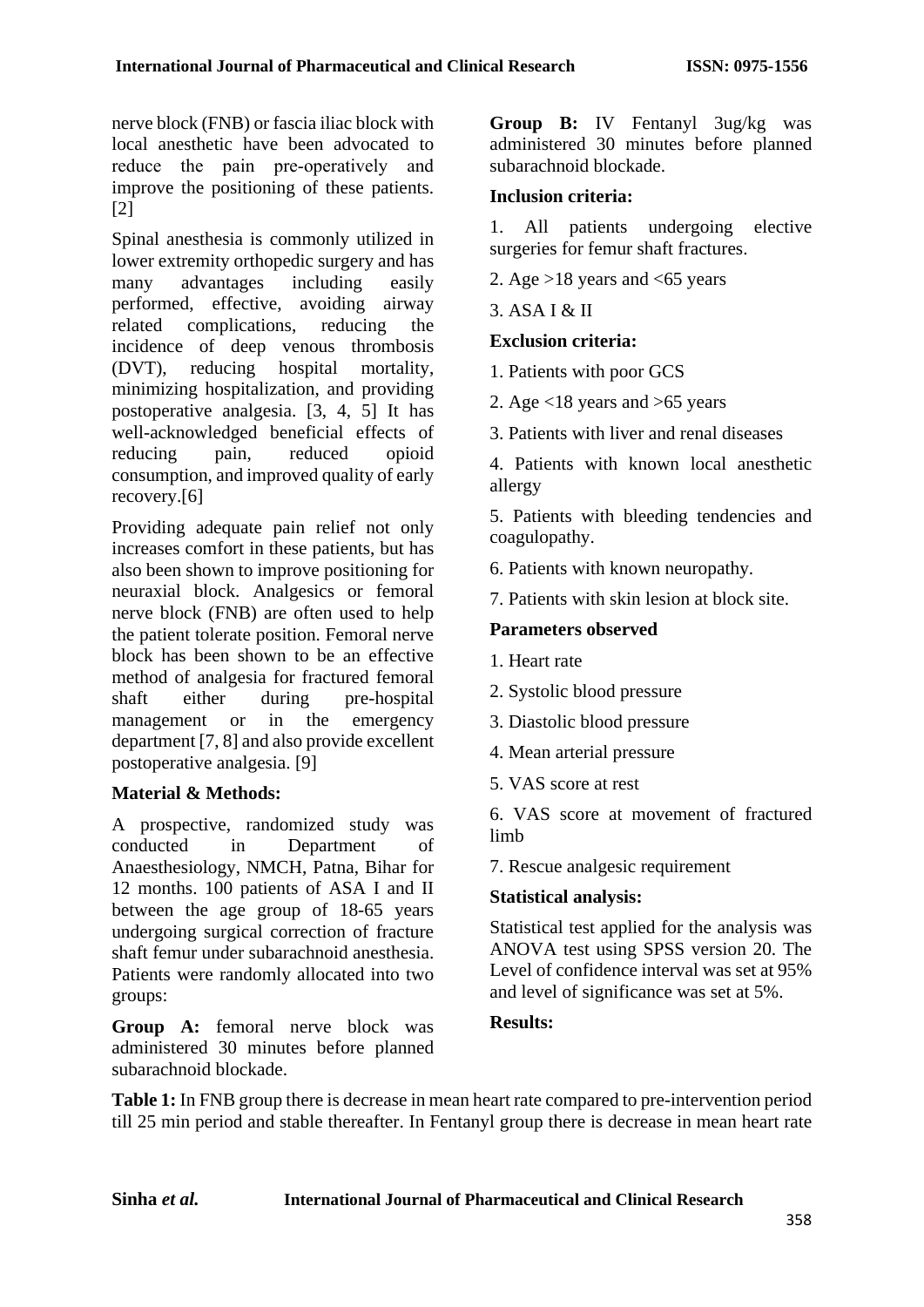nerve block (FNB) or fascia iliac block with local anesthetic have been advocated to reduce the pain pre-operatively and improve the positioning of these patients. [2]

Spinal anesthesia is commonly utilized in lower extremity orthopedic surgery and has many advantages including easily performed, effective, avoiding airway related complications, reducing the incidence of deep venous thrombosis (DVT), reducing hospital mortality, minimizing hospitalization, and providing postoperative analgesia. [3, 4, 5] It has well-acknowledged beneficial effects of reducing pain, reduced opioid consumption, and improved quality of early recovery.[6]

Providing adequate pain relief not only increases comfort in these patients, but has also been shown to improve positioning for neuraxial block. Analgesics or femoral nerve block (FNB) are often used to help the patient tolerate position. Femoral nerve block has been shown to be an effective method of analgesia for fractured femoral shaft either during pre-hospital management or in the emergency department [7, 8] and also provide excellent postoperative analgesia. [9]

# **Material & Methods:**

A prospective, randomized study was conducted in Department of Anaesthesiology, NMCH, Patna, Bihar for 12 months. 100 patients of ASA I and II between the age group of 18-65 years undergoing surgical correction of fracture shaft femur under subarachnoid anesthesia. Patients were randomly allocated into two groups:

Group A: femoral nerve block was administered 30 minutes before planned subarachnoid blockade.

**Group B:** IV Fentanyl 3ug/kg was administered 30 minutes before planned subarachnoid blockade.

# **Inclusion criteria:**

1. All patients undergoing elective surgeries for femur shaft fractures.

- 2. Age  $>18$  years and  $< 65$  years
- 3. ASA I & II

# **Exclusion criteria:**

- 1. Patients with poor GCS
- 2. Age  $\langle 18 \rangle$  years and  $>65$  years
- 3. Patients with liver and renal diseases

4. Patients with known local anesthetic allergy

5. Patients with bleeding tendencies and coagulopathy.

6. Patients with known neuropathy.

7. Patients with skin lesion at block site.

# **Parameters observed**

- 1. Heart rate
- 2. Systolic blood pressure
- 3. Diastolic blood pressure
- 4. Mean arterial pressure
- 5. VAS score at rest

6. VAS score at movement of fractured limb

7. Rescue analgesic requirement

### **Statistical analysis:**

Statistical test applied for the analysis was ANOVA test using SPSS version 20. The Level of confidence interval was set at 95% and level of significance was set at 5%.

### **Results:**

**Table 1:** In FNB group there is decrease in mean heart rate compared to pre-intervention period till 25 min period and stable thereafter. In Fentanyl group there is decrease in mean heart rate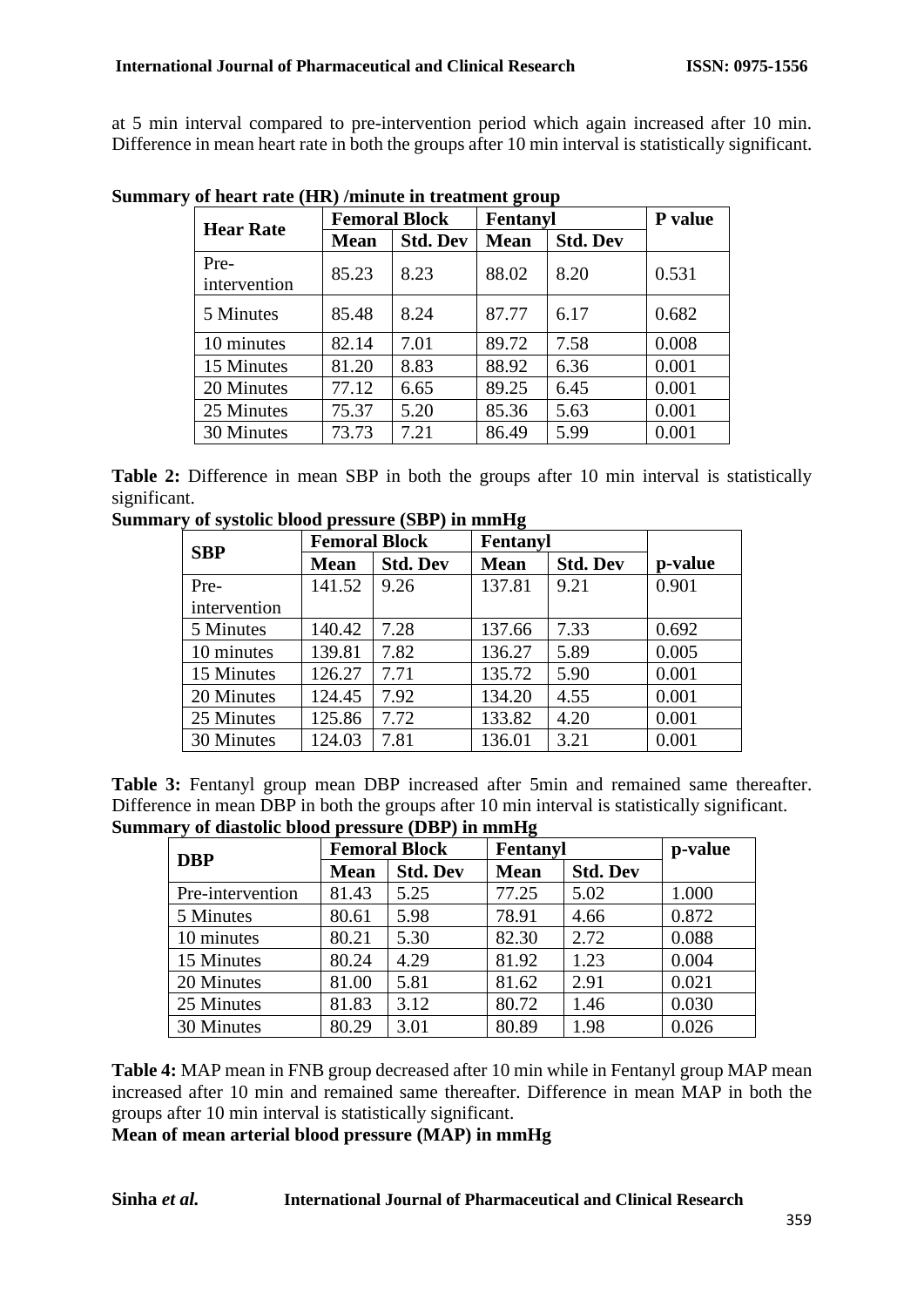at 5 min interval compared to pre-intervention period which again increased after 10 min. Difference in mean heart rate in both the groups after 10 min interval is statistically significant.

|                      | <b>Femoral Block</b> |                 | Fentanyl    |                 | P value |
|----------------------|----------------------|-----------------|-------------|-----------------|---------|
| <b>Hear Rate</b>     | <b>Mean</b>          | <b>Std. Dev</b> | <b>Mean</b> | <b>Std. Dev</b> |         |
| Pre-<br>intervention | 85.23                | 8.23            | 88.02       | 8.20            | 0.531   |
| 5 Minutes            | 85.48                | 8.24            | 87.77       | 6.17            | 0.682   |
| 10 minutes           | 82.14                | 7.01            | 89.72       | 7.58            | 0.008   |
| 15 Minutes           | 81.20                | 8.83            | 88.92       | 6.36            | 0.001   |
| 20 Minutes           | 77.12                | 6.65            | 89.25       | 6.45            | 0.001   |
| 25 Minutes           | 75.37                | 5.20            | 85.36       | 5.63            | 0.001   |
| 30 Minutes           | 73.73                | 7.21            | 86.49       | 5.99            | 0.001   |

**Summary of heart rate (HR) /minute in treatment group**

Table 2: Difference in mean SBP in both the groups after 10 min interval is statistically significant.

**Summary of systolic blood pressure (SBP) in mmHg**

| <b>SBP</b>   | <b>Femoral Block</b> |                 | Fentanyl    |                 |         |
|--------------|----------------------|-----------------|-------------|-----------------|---------|
|              | <b>Mean</b>          | <b>Std. Dev</b> | <b>Mean</b> | <b>Std. Dev</b> | p-value |
| Pre-         | 141.52               | 9.26            | 137.81      | 9.21            | 0.901   |
| intervention |                      |                 |             |                 |         |
| 5 Minutes    | 140.42               | 7.28            | 137.66      | 7.33            | 0.692   |
| 10 minutes   | 139.81               | 7.82            | 136.27      | 5.89            | 0.005   |
| 15 Minutes   | 126.27               | 7.71            | 135.72      | 5.90            | 0.001   |
| 20 Minutes   | 124.45               | 7.92            | 134.20      | 4.55            | 0.001   |
| 25 Minutes   | 125.86               | 7.72            | 133.82      | 4.20            | 0.001   |
| 30 Minutes   | 124.03               | 7.81            | 136.01      | 3.21            | 0.001   |

**Table 3:** Fentanyl group mean DBP increased after 5min and remained same thereafter. Difference in mean DBP in both the groups after 10 min interval is statistically significant. **Summary of diastolic blood pressure (DBP) in mmHg**

| <b>DBP</b>       | <b>Femoral Block</b> |                 | Fentanyl    |                 | p-value |
|------------------|----------------------|-----------------|-------------|-----------------|---------|
|                  | <b>Mean</b>          | <b>Std. Dev</b> | <b>Mean</b> | <b>Std. Dev</b> |         |
| Pre-intervention | 81.43                | 5.25            | 77.25       | 5.02            | 1.000   |
| 5 Minutes        | 80.61                | 5.98            | 78.91       | 4.66            | 0.872   |
| 10 minutes       | 80.21                | 5.30            | 82.30       | 2.72            | 0.088   |
| 15 Minutes       | 80.24                | 4.29            | 81.92       | 1.23            | 0.004   |
| 20 Minutes       | 81.00                | 5.81            | 81.62       | 2.91            | 0.021   |
| 25 Minutes       | 81.83                | 3.12            | 80.72       | 1.46            | 0.030   |
| 30 Minutes       | 80.29                | 3.01            | 80.89       | 1.98            | 0.026   |

**Table 4:** MAP mean in FNB group decreased after 10 min while in Fentanyl group MAP mean increased after 10 min and remained same thereafter. Difference in mean MAP in both the groups after 10 min interval is statistically significant.

**Mean of mean arterial blood pressure (MAP) in mmHg**

### **Sinha** *et al.* **International Journal of Pharmaceutical and Clinical Research**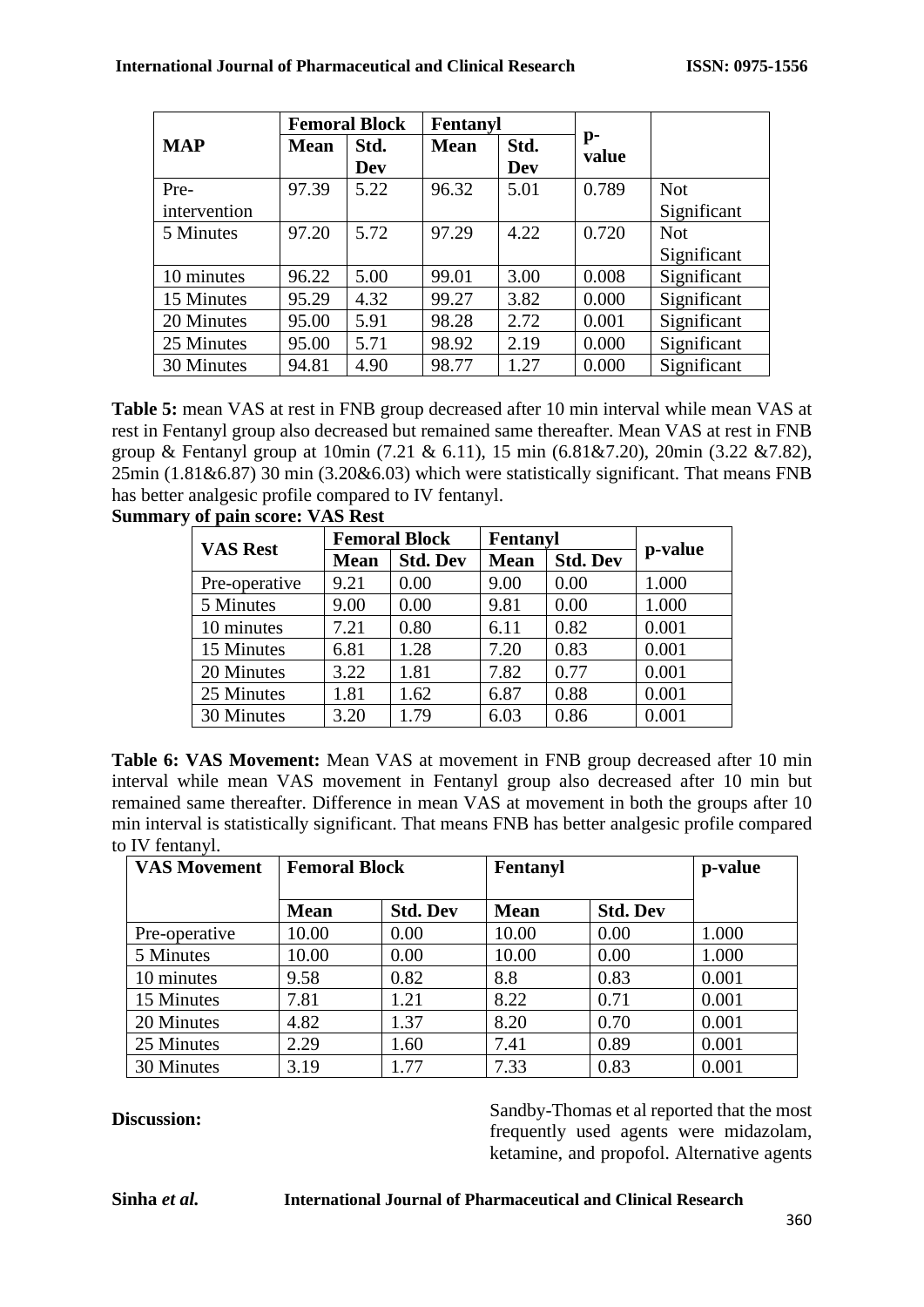|              | <b>Femoral Block</b> |             | Fentanyl    |                    |             |             |
|--------------|----------------------|-------------|-------------|--------------------|-------------|-------------|
| <b>MAP</b>   | <b>Mean</b>          | Std.<br>Dev | <b>Mean</b> | Std.<br><b>Dev</b> | p-<br>value |             |
| Pre-         | 97.39                | 5.22        | 96.32       | 5.01               | 0.789       | <b>Not</b>  |
| intervention |                      |             |             |                    |             | Significant |
| 5 Minutes    | 97.20                | 5.72        | 97.29       | 4.22               | 0.720       | <b>Not</b>  |
|              |                      |             |             |                    |             | Significant |
| 10 minutes   | 96.22                | 5.00        | 99.01       | 3.00               | 0.008       | Significant |
| 15 Minutes   | 95.29                | 4.32        | 99.27       | 3.82               | 0.000       | Significant |
| 20 Minutes   | 95.00                | 5.91        | 98.28       | 2.72               | 0.001       | Significant |
| 25 Minutes   | 95.00                | 5.71        | 98.92       | 2.19               | 0.000       | Significant |
| 30 Minutes   | 94.81                | 4.90        | 98.77       | 1.27               | 0.000       | Significant |

**Table 5:** mean VAS at rest in FNB group decreased after 10 min interval while mean VAS at rest in Fentanyl group also decreased but remained same thereafter. Mean VAS at rest in FNB group & Fentanyl group at 10min (7.21 & 6.11), 15 min (6.81&7.20), 20min (3.22 &7.82),  $25\text{min}$  (1.81&6.87) 30 min (3.20&6.03) which were statistically significant. That means FNB has better analgesic profile compared to IV fentanyl. **Summary of pain score: VAS Rest**

| <b>VAS Rest</b> | <b>Femoral Block</b> |                 | Fentanyl    |                 |         |
|-----------------|----------------------|-----------------|-------------|-----------------|---------|
|                 | <b>Mean</b>          | <b>Std. Dev</b> | <b>Mean</b> | <b>Std. Dev</b> | p-value |
| Pre-operative   | 9.21                 | 0.00            | 9.00        | 0.00            | 1.000   |
| 5 Minutes       | 9.00                 | 0.00            | 9.81        | 0.00            | 1.000   |
| 10 minutes      | 7.21                 | 0.80            | 6.11        | 0.82            | 0.001   |
| 15 Minutes      | 6.81                 | 1.28            | 7.20        | 0.83            | 0.001   |
| 20 Minutes      | 3.22                 | 1.81            | 7.82        | 0.77            | 0.001   |
| 25 Minutes      | 1.81                 | 1.62            | 6.87        | 0.88            | 0.001   |
| 30 Minutes      | 3.20                 | 1.79            | 6.03        | 0.86            | 0.001   |

**Table 6: VAS Movement:** Mean VAS at movement in FNB group decreased after 10 min interval while mean VAS movement in Fentanyl group also decreased after 10 min but remained same thereafter. Difference in mean VAS at movement in both the groups after 10 min interval is statistically significant. That means FNB has better analgesic profile compared to IV fentanyl.

| <b>VAS Movement</b> | <b>Femoral Block</b> |                 | Fentanyl    |                 | p-value |
|---------------------|----------------------|-----------------|-------------|-----------------|---------|
|                     | <b>Mean</b>          | <b>Std. Dev</b> | <b>Mean</b> | <b>Std. Dev</b> |         |
| Pre-operative       | 10.00                | 0.00            | 10.00       | 0.00            | 1.000   |
| 5 Minutes           | 10.00                | 0.00            | 10.00       | 0.00            | 1.000   |
| 10 minutes          | 9.58                 | 0.82            | 8.8         | 0.83            | 0.001   |
| 15 Minutes          | 7.81                 | 1.21            | 8.22        | 0.71            | 0.001   |
| 20 Minutes          | 4.82                 | 1.37            | 8.20        | 0.70            | 0.001   |
| 25 Minutes          | 2.29                 | 1.60            | 7.41        | 0.89            | 0.001   |
| 30 Minutes          | 3.19                 | 1.77            | 7.33        | 0.83            | 0.001   |

**Discussion:** Sandby-Thomas et al reported that the most frequently used agents were midazolam, ketamine, and propofol. Alternative agents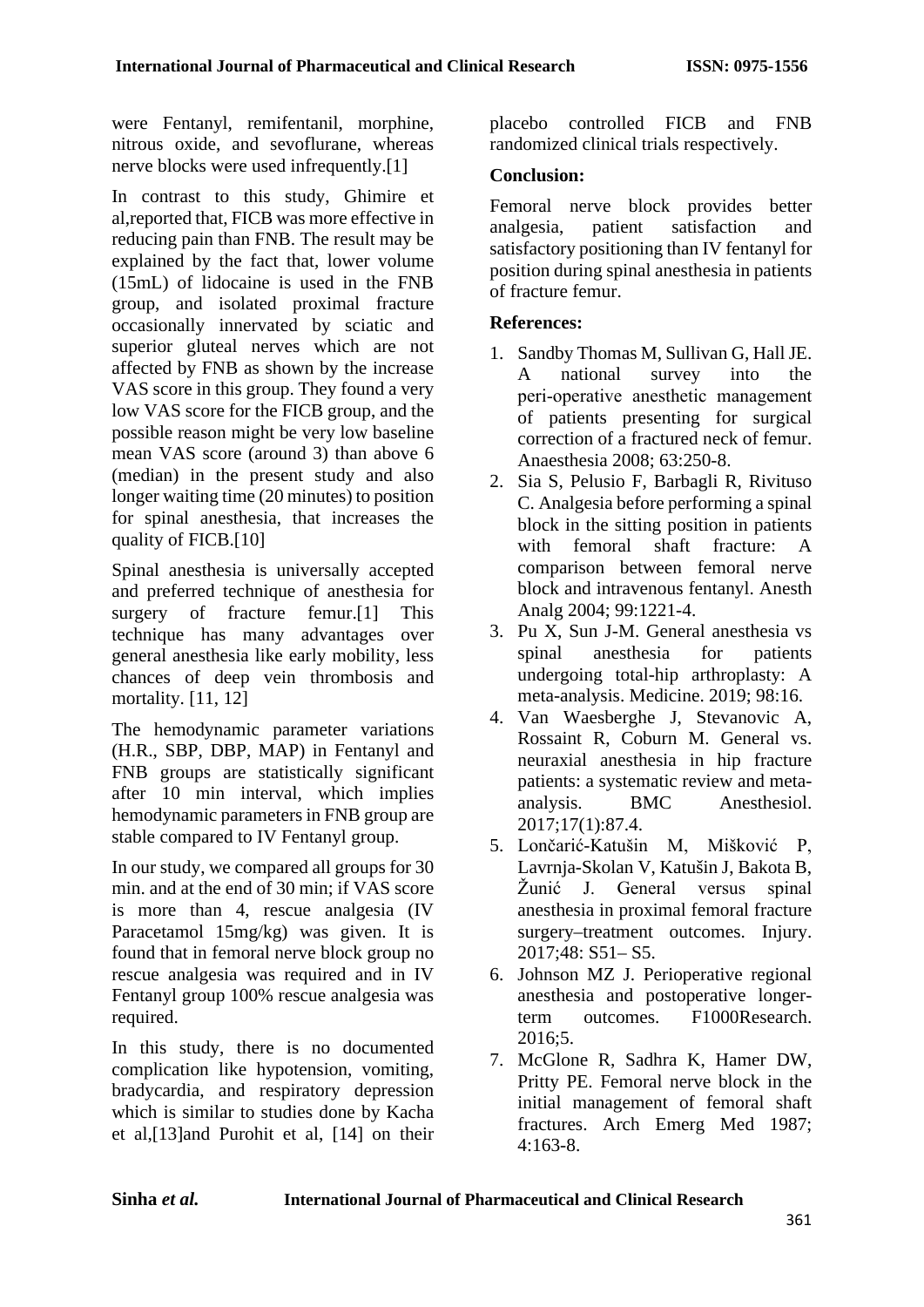were Fentanyl, remifentanil, morphine, nitrous oxide, and sevoflurane, whereas nerve blocks were used infrequently.<sup>[1]</sup>

In contrast to this study, Ghimire et al,reported that, FICB was more effective in reducing pain than FNB. The result may be explained by the fact that, lower volume (15mL) of lidocaine is used in the FNB group, and isolated proximal fracture occasionally innervated by sciatic and superior gluteal nerves which are not affected by FNB as shown by the increase VAS score in this group. They found a very low VAS score for the FICB group, and the possible reason might be very low baseline mean VAS score (around 3) than above 6 (median) in the present study and also longer waiting time (20 minutes) to position for spinal anesthesia, that increases the quality of FICB.[10]

Spinal anesthesia is universally accepted and preferred technique of anesthesia for surgery of fracture femur.[1] This technique has many advantages over general anesthesia like early mobility, less chances of deep vein thrombosis and mortality. [11, 12]

The hemodynamic parameter variations (H.R., SBP, DBP, MAP) in Fentanyl and FNB groups are statistically significant after 10 min interval, which implies hemodynamic parameters in FNB group are stable compared to IV Fentanyl group.

In our study, we compared all groups for 30 min. and at the end of 30 min; if VAS score is more than 4, rescue analgesia (IV Paracetamol 15mg/kg) was given. It is found that in femoral nerve block group no rescue analgesia was required and in IV Fentanyl group 100% rescue analgesia was required.

In this study, there is no documented complication like hypotension, vomiting, bradycardia, and respiratory depression which is similar to studies done by Kacha et al,[13]and Purohit et al, [14] on their placebo controlled FICB and FNB randomized clinical trials respectively.

# **Conclusion:**

Femoral nerve block provides better analgesia, patient satisfaction and satisfactory positioning than IV fentanyl for position during spinal anesthesia in patients of fracture femur.

# **References:**

- 1. Sandby Thomas M, Sullivan G, Hall JE. A national survey into the peri‑operative anesthetic management of patients presenting for surgical correction of a fractured neck of femur. Anaesthesia 2008; 63:250-8.
- 2. Sia S, Pelusio F, Barbagli R, Rivituso C. Analgesia before performing a spinal block in the sitting position in patients with femoral shaft fracture: A comparison between femoral nerve block and intravenous fentanyl. Anesth Analg 2004; 99:1221-4.
- 3. Pu X, Sun J-M. General anesthesia vs spinal anesthesia for patients undergoing total-hip arthroplasty: A meta-analysis. Medicine. 2019; 98:16.
- 4. Van Waesberghe J, Stevanovic A, Rossaint R, Coburn M. General vs. neuraxial anesthesia in hip fracture patients: a systematic review and metaanalysis. BMC Anesthesiol. 2017;17(1):87.4.
- 5. Lončarić-Katušin M, Mišković P, Lavrnja-Skolan V, Katušin J, Bakota B, Žunić J. General versus spinal anesthesia in proximal femoral fracture surgery–treatment outcomes. Injury. 2017;48: S51– S5.
- 6. Johnson MZ J. Perioperative regional anesthesia and postoperative longerterm outcomes. F1000Research. 2016;5.
- 7. McGlone R, Sadhra K, Hamer DW, Pritty PE. Femoral nerve block in the initial management of femoral shaft fractures. Arch Emerg Med 1987; 4:163-8.